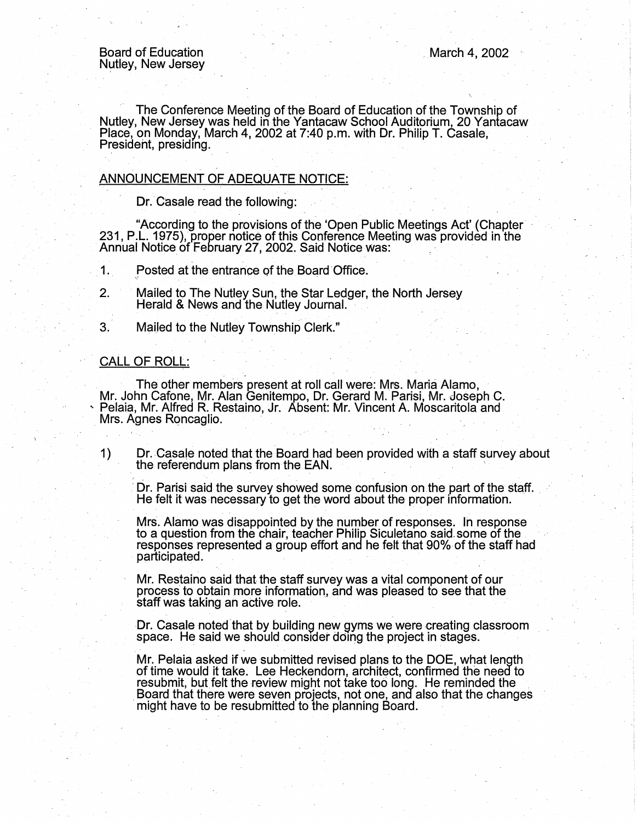I

The Conference Meeting of the Board of Education of the Township of Nutley, New Jersey was held in the Yantacaw School Auditorium, 20 Yantacaw Place, on Monday, March 4, 2002 at 7:40 p.m. with Dr. Philip T. Casale, President, presiding.

# ANNOUNCEMENT OF ADEQUATE NOTICE:

Dr. Casale read the following:

"According to the provisions of the 'Open Public Meetings Act' (Chapter 231, P.L. 1975), proper notice of this Conference Meeting was provided in the Annual Notice of February 27, 2002. Said Notice was:

 $\mathbf 1$ . Posted at the entrance of the Board Office.

2. Mailed to The Nutley Sun, the Star Ledger, the North Jersey Herald & News and the Nutley Journal.

3. Mailed to the Nutley Township Clerk."

#### CALL OF ROLL:

The other members present at roll call were: Mrs. Maria Alamo,<br>Mr. John Cafone, Mr. Alan Genitempo, Dr. Gerard M. Parisi, Mr. Joseph C.<br>Pelaia, Mr. Alfred R. Restaino, Jr. Absent: Mr. Vincent A. Moscaritola and<br>Mrs. Agnes

1) Dr. Casale noted that the Board had been provided with a staff survey about the referendum plans from the EAN. , .

Dr. Parisi said the survey showed some confusion on the part of the staff. He felt it was necessary to get the word about the proper information.

Mrs. Alamo was disappointed by the number of responses. In response to a question from the chair, teacher Philip Siculetano said some of the responses represented a group effort and he felt that 90% of the staff had partic

Mr. Restaino said that the staff survey was a vital component of our process to obtain more information., and was pleased to see that the staff was taking an active role.

Dr. Casale noted that by building new gyms we were creating classroom space. He said we should consider doing the project in stages.

Mr. Pelaia asked if we submitted revised plans to the DOE, what length of time would it take. Lee Heckendom, architect, confirmed the need to resubmit, but felt the review might not take too long. He reminded the Board that there were seven projects, not one, and also that the changes might have to be resubmitted to the planning Board.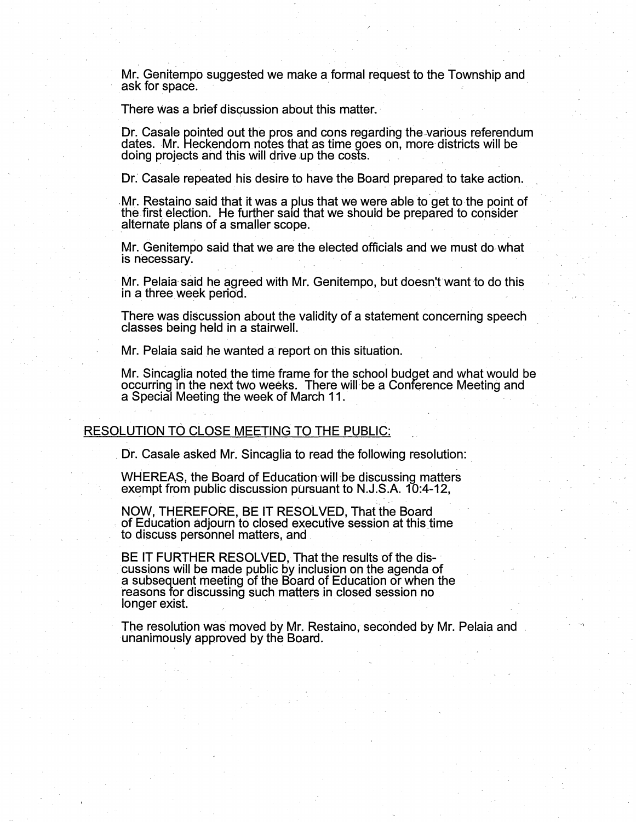Mr. Genitempo suggested we make a formal request to the Township and ask for space.

There was a brief discussion about this matter.

' . - --.

Dr. Casale pointed out the pros and cons regarding the various referendum dates. Mr. Heckendorn notes that as time goes on, more districts will be doing projects and this will drive up the costs.

Dr. Casale repeated his desire to have the Board prepared to take action.

Mr. Restaino said that it was a plus that we were able to get to the point of the first election. He further said that we should be prepared to consider **alternate plans of a smaller scope.** *alternate plans* of a smaller scope.

Mr. Genitempo said that we are the elected officials and we must do-what is necessary.

Mr. Pelaia-said he agreed with Mr. Genitempo, but doesn'twant to do this in a three week period.

There was discussion about the validity of a statement concerning speech classes being held in a stairwell. .

Mr. Pelaia said he wanted a report on this situation.

Mr. Sincaglia noted the time frame for the school budget and what would be occurring in the next two weeks. There will be a Conference Meeting and a Special Meeting the week of March 11.

#### RESOLUTION TO CLOSE MEETING TO THE PUBLIC:

. Dr. Casale asked Mr. Sincaglia to read the following resolution:

WHEREAS, the Board of Education will be discussing matters exempt from public discussion pursuant to N.J.S.A.  $10:4-12$ ,

NOW, THEREFORE, BE IT RESOLVED, That the Board . of Education adjourn to closed executive session at this time to discuss personnel matters, and

BE IT FURTHER RESOLVED, That the results of the dis-<br>cussions will be made public by inclusion on the agenda of a subsequent meeting of the Board of Education or when the reasons for discussing such matters in closed session no longer exist.

The resolution was moved by Mr. Restaino, seconded by Mr. Pelaia and unanimously approved by the Board.

 $. -4$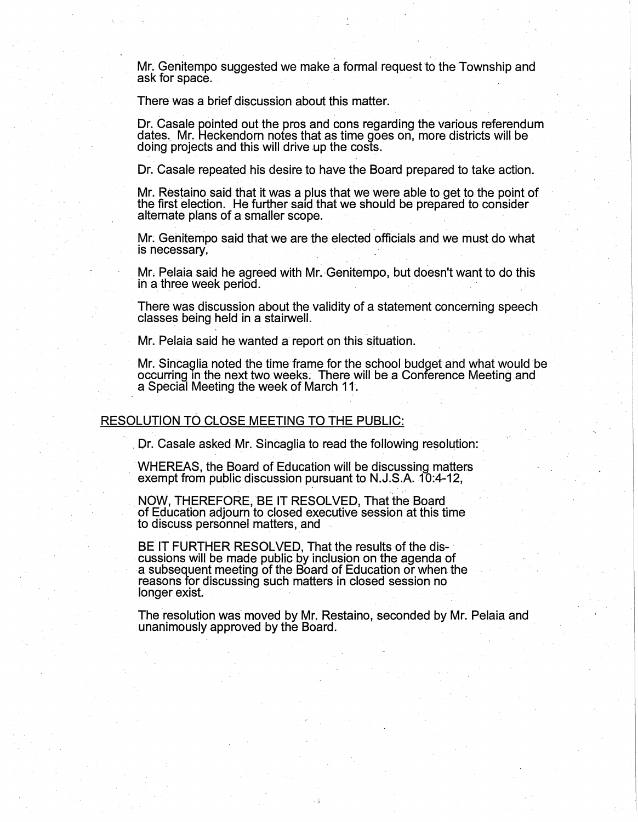Mr. Genitempo suggested we make a formal request to the Township and ask for space.

There was a brief discussion about this matter.

Dr. Casale pointed out the pros and cons regarding the various referendum dates. Mr. Heckendorn notes that as time goes on, more districts will be doing projects and this will drive up the costs.

Dr. Casale repeated his desire to have the Board prepared to take action.

Mr. Restaino said that it was a plus that we were able to get to the point of the first election. He further said that we should be prepared to consider alternate plans of a smaller scope.

Mr. Gehitempo said that we are the elected officials and we must do what is necessary.

Mr. Pelaia said he agreed with Mr. Genitempo, but doesn't want to do this in a three week period.

There was discussion about the validity of a statement concerning speech classes being held in a stairwell.

Mr. Pelaia said he wanted a report on this situation.

Mr. Sincaglia noted the time frame for the school budget and what would be occurring m the next two weeks. There will be a Conference Meeting and a Special Meeting the week of March 11.

### RESOLUTION TO CLOSE MEETING TO THE PUBLIC:

Or. Casale asked Mr. Sincaglia to read the following resolution: .

WHEREAS, the Board of Education will be discussing matters exempt from public discussion pursuant to  $N.J.S.A.$   $10:4-12$ ,

NOW, THEREFORE, BE IT RESOLVED, That the Board of Education adjourn to closed executive session at this time to discuss personnel matters, and

BE IT FURTHER RESOLVED, That the results of the discussions will be made public by inclusion on the agenda of a subsequent meeting of the Board of Education or when the reasons for discussing such matters in closed session no longer exist.

The resolution was moved by Mr. Restaino, seconded by Mr. Pelaia and unanimously approved by the Board.